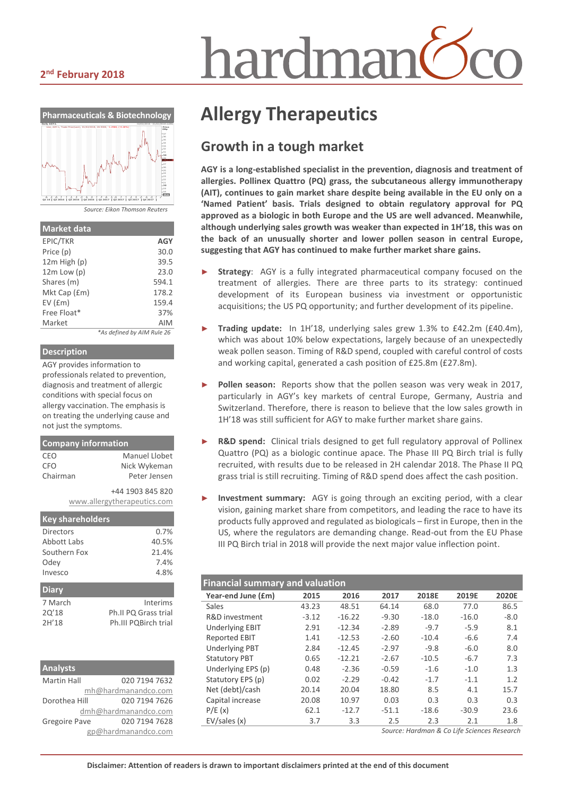# hardmar

#### **2 nd February 2018**



| <b>Market data</b> |                            |
|--------------------|----------------------------|
| EPIC/TKR           | <b>AGY</b>                 |
| Price (p)          | 30.0                       |
| $12m$ High $(p)$   | 39.5                       |
| $12m$ Low $(p)$    | 23.0                       |
| Shares (m)         | 594.1                      |
| Mkt Cap (£m)       | 178.2                      |
| $EV$ ( $Em$ )      | 159.4                      |
| Free Float*        | 37%                        |
| Market             | AIM                        |
|                    | *As defined by AIM Rule 26 |

#### **Description**

AGY provides information to professionals related to prevention, diagnosis and treatment of allergic conditions with special focus on allergy vaccination. The emphasis is on treating the underlying cause and not just the symptoms.

| <b>Company information</b> |                             |  |  |  |
|----------------------------|-----------------------------|--|--|--|
| CEO                        | Manuel Llobet               |  |  |  |
| <b>CFO</b>                 | Nick Wykeman                |  |  |  |
| Chairman                   | Peter lensen                |  |  |  |
|                            | +44 1903 845 820            |  |  |  |
|                            | www.allergytherapeutics.com |  |  |  |
|                            |                             |  |  |  |

| <b>Key shareholders</b> |                      |
|-------------------------|----------------------|
| Directors               | 0.7%                 |
| Abbott Labs             | 40.5%                |
| Southern Fox            | 21.4%                |
| Odey                    | 7.4%                 |
| Invesco                 | 4.8%                 |
| <b>Diary</b>            |                      |
| 7 March                 | Interims             |
| 20'18                   | Ph.II PQ Grass trial |
| 2H'18                   | Ph.III PQBirch trial |

| <b>Analysts</b>      |                      |  |  |  |  |  |
|----------------------|----------------------|--|--|--|--|--|
| <b>Martin Hall</b>   | 020 7194 7632        |  |  |  |  |  |
|                      | mh@hardmanandco.com  |  |  |  |  |  |
| Dorothea Hill        | 020 7194 7626        |  |  |  |  |  |
|                      | dmh@hardmanandco.com |  |  |  |  |  |
| <b>Gregoire Pave</b> | 020 7194 7628        |  |  |  |  |  |
| gp@hardmanandco.com  |                      |  |  |  |  |  |

## **Allergy Therapeutics**

#### **Growth in a tough market**

**AGY is a long-established specialist in the prevention, diagnosis and treatment of allergies. Pollinex Quattro (PQ) grass, the subcutaneous allergy immunotherapy (AIT), continues to gain market share despite being available in the EU only on a 'Named Patient' basis. Trials designed to obtain regulatory approval for PQ approved as a biologic in both Europe and the US are well advanced. Meanwhile, although underlying sales growth was weaker than expected in 1H'18, this was on the back of an unusually shorter and lower pollen season in central Europe, suggesting that AGY has continued to make further market share gains.**

- Strategy: AGY is a fully integrated pharmaceutical company focused on the treatment of allergies. There are three parts to its strategy: continued development of its European business via investment or opportunistic acquisitions; the US PQ opportunity; and further development of its pipeline.
- ► **Trading update:** In 1H'18, underlying sales grew 1.3% to £42.2m (£40.4m), which was about 10% below expectations, largely because of an unexpectedly weak pollen season. Timing of R&D spend, coupled with careful control of costs and working capital, generated a cash position of £25.8m (£27.8m).
- Pollen season: Reports show that the pollen season was very weak in 2017, particularly in AGY's key markets of central Europe, Germany, Austria and Switzerland. Therefore, there is reason to believe that the low sales growth in 1H'18 was still sufficient for AGY to make further market share gains.
- **R&D spend:** Clinical trials designed to get full regulatory approval of Pollinex Quattro (PQ) as a biologic continue apace. The Phase III PQ Birch trial is fully recruited, with results due to be released in 2H calendar 2018. The Phase II PQ grass trial is still recruiting. Timing of R&D spend does affect the cash position.
- **Investment summary:** AGY is going through an exciting period, with a clear vision, gaining market share from competitors, and leading the race to have its products fully approved and regulated as biologicals – first in Europe, then in the US, where the regulators are demanding change. Read-out from the EU Phase III PQ Birch trial in 2018 will provide the next major value inflection point.

| <b>Financial summary and valuation</b> |         |          |         |         |         |        |  |  |
|----------------------------------------|---------|----------|---------|---------|---------|--------|--|--|
| Year-end June (£m)                     | 2015    | 2016     | 2017    | 2018E   | 2019E   | 2020E  |  |  |
| Sales                                  | 43.23   | 48.51    | 64.14   | 68.0    | 77.0    | 86.5   |  |  |
| R&D investment                         | $-3.12$ | $-16.22$ | $-9.30$ | $-18.0$ | $-16.0$ | $-8.0$ |  |  |
| <b>Underlying EBIT</b>                 | 2.91    | $-12.34$ | $-2.89$ | $-9.7$  | $-5.9$  | 8.1    |  |  |
| <b>Reported EBIT</b>                   | 1.41    | $-12.53$ | $-2.60$ | $-10.4$ | $-6.6$  | 7.4    |  |  |
| <b>Underlying PBT</b>                  | 2.84    | $-12.45$ | $-2.97$ | $-9.8$  | $-6.0$  | 8.0    |  |  |
| <b>Statutory PBT</b>                   | 0.65    | $-12.21$ | $-2.67$ | $-10.5$ | $-6.7$  | 7.3    |  |  |
| Underlying EPS (p)                     | 0.48    | $-2.36$  | $-0.59$ | $-1.6$  | $-1.0$  | 1.3    |  |  |
| Statutory EPS (p)                      | 0.02    | $-2.29$  | $-0.42$ | $-1.7$  | $-1.1$  | 1.2    |  |  |
| Net (debt)/cash                        | 20.14   | 20.04    | 18.80   | 8.5     | 4.1     | 15.7   |  |  |
| Capital increase                       | 20.08   | 10.97    | 0.03    | 0.3     | 0.3     | 0.3    |  |  |
| P/E(x)                                 | 62.1    | $-12.7$  | $-51.1$ | $-18.6$ | $-30.9$ | 23.6   |  |  |
| EV/sales(x)                            | 3.7     | 3.3      | 2.5     | 2.3     | 2.1     | 1.8    |  |  |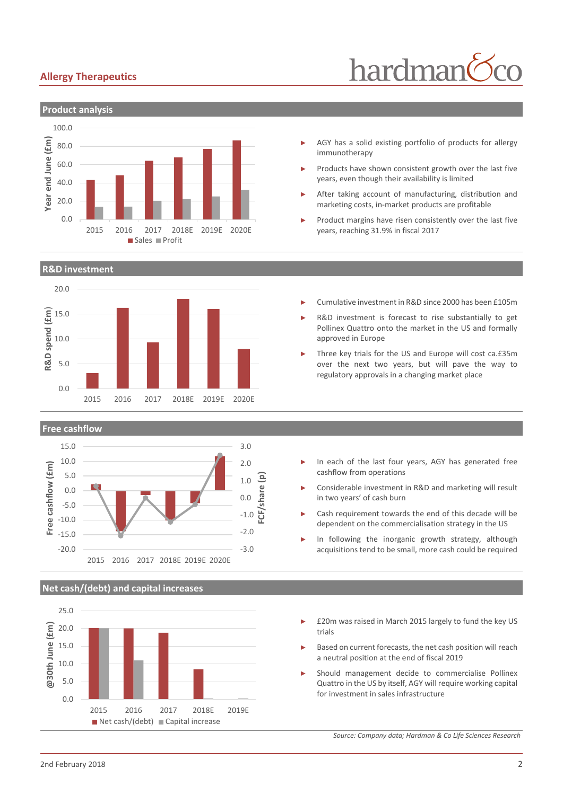#### **Allergy Therapeutics**

## hardman



**R&D investment**





#### **Net cash/(debt) and capital increases**



- AGY has a solid existing portfolio of products for allergy immunotherapy
- Products have shown consistent growth over the last five years, even though their availability is limited
- After taking account of manufacturing, distribution and marketing costs, in-market products are profitable
- Product margins have risen consistently over the last five years, reaching 31.9% in fiscal 2017
- ► Cumulative investment in R&D since 2000 has been £105m
- R&D investment is forecast to rise substantially to get Pollinex Quattro onto the market in the US and formally approved in Europe
- Three key trials for the US and Europe will cost ca.£35m over the next two years, but will pave the way to regulatory approvals in a changing market place
- In each of the last four years, AGY has generated free cashflow from operations
- ► Considerable investment in R&D and marketing will result in two years' of cash burn
- Cash requirement towards the end of this decade will be dependent on the commercialisation strategy in the US
- In following the inorganic growth strategy, although acquisitions tend to be small, more cash could be required
- £20m was raised in March 2015 largely to fund the key US trials
- Based on current forecasts, the net cash position will reach a neutral position at the end of fiscal 2019
- Should management decide to commercialise Pollinex Quattro in the US by itself, AGY will require working capital for investment in sales infrastructure

*Source: Company data; Hardman & Co Life Sciences Research*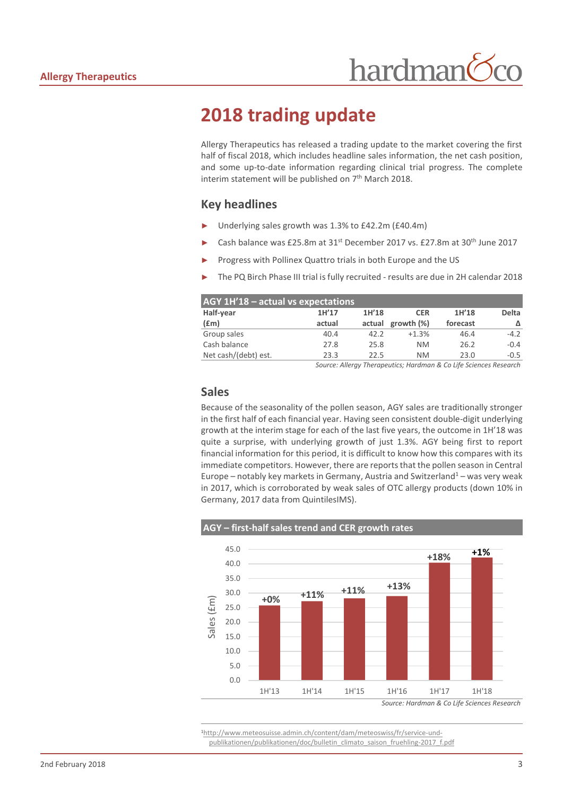## **2018 trading update**

Allergy Therapeutics has released a trading update to the market covering the first half of fiscal 2018, which includes headline sales information, the net cash position, and some up-to-date information regarding clinical trial progress. The complete interim statement will be published on 7<sup>th</sup> March 2018.

#### **Key headlines**

- Underlying sales growth was 1.3% to £42.2m (£40.4m)
- Cash balance was £25.8m at 31<sup>st</sup> December 2017 vs. £27.8m at 30<sup>th</sup> June 2017
- Progress with Pollinex Quattro trials in both Europe and the US
- The PQ Birch Phase III trial is fully recruited results are due in 2H calendar 2018

| $AGY$ 1H'18 – actual vs expectations |        |        |            |          |              |  |  |  |  |
|--------------------------------------|--------|--------|------------|----------|--------------|--|--|--|--|
| Half-year                            | 1H'17  | 1H'18  | <b>CER</b> | 1H'18    | <b>Delta</b> |  |  |  |  |
| (fm)                                 | actual | actual | growth (%) | forecast |              |  |  |  |  |
| Group sales                          | 40.4   | 42.2   | $+1.3%$    | 46.4     | $-4.2$       |  |  |  |  |
| Cash balance                         | 27.8   | 25.8   | <b>NM</b>  | 26.2     | $-0.4$       |  |  |  |  |
| Net cash/(debt) est.                 | 23.3   | 22.5   | <b>NM</b>  | 23.0     | $-0.5$       |  |  |  |  |

*Source: Allergy Therapeutics; Hardman & Co Life Sciences Research*

#### **Sales**

Because of the seasonality of the pollen season, AGY sales are traditionally stronger in the first half of each financial year. Having seen consistent double-digit underlying growth at the interim stage for each of the last five years, the outcome in 1H'18 was quite a surprise, with underlying growth of just 1.3%. AGY being first to report financial information for this period, it is difficult to know how this compares with its immediate competitors. However, there are reports that the pollen season in Central Europe – notably key markets in Germany, Austria and Switzerland<sup>1</sup> – was very weak in 2017, which is corroborated by weak sales of OTC allergy products (down 10% in Germany, 2017 data from QuintilesIMS).



 $\overline{a}$ 1[http://www.meteosuisse.admin.ch/content/dam/meteoswiss/fr/service-und](http://www.meteosuisse.admin.ch/content/dam/meteoswiss/fr/service-und-publikationen/publikationen/doc/bulletin_climato_saison_fruehling-2017_f.pdf)[publikationen/publikationen/doc/bulletin\\_climato\\_saison\\_fruehling-2017\\_f.pdf](http://www.meteosuisse.admin.ch/content/dam/meteoswiss/fr/service-und-publikationen/publikationen/doc/bulletin_climato_saison_fruehling-2017_f.pdf)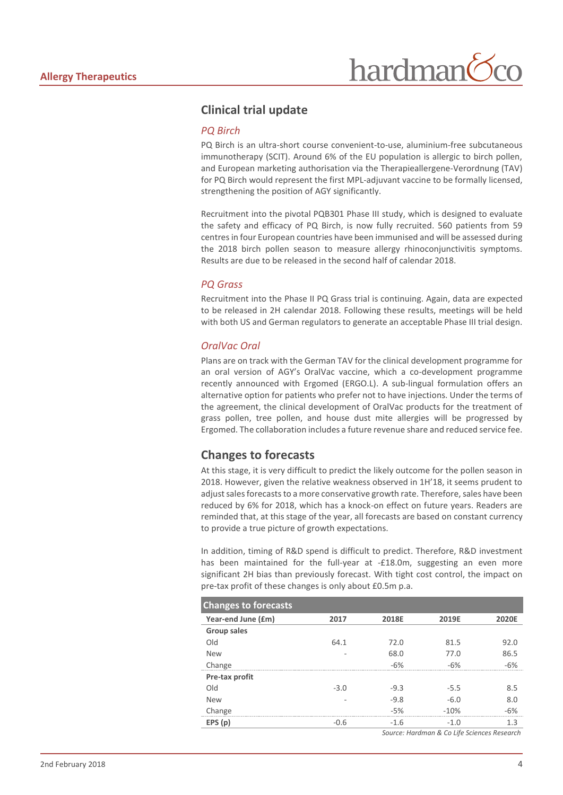#### **Clinical trial update**

#### *PQ Birch*

PQ Birch is an ultra-short course convenient-to-use, aluminium-free subcutaneous immunotherapy (SCIT). Around 6% of the EU population is allergic to birch pollen, and European marketing authorisation via the Therapieallergene-Verordnung (TAV) for PQ Birch would represent the first MPL-adjuvant vaccine to be formally licensed, strengthening the position of AGY significantly.

Recruitment into the pivotal PQB301 Phase III study, which is designed to evaluate the safety and efficacy of PQ Birch, is now fully recruited. 560 patients from 59 centres in four European countries have been immunised and will be assessed during the 2018 birch pollen season to measure allergy rhinoconjunctivitis symptoms. Results are due to be released in the second half of calendar 2018.

#### *PQ Grass*

Recruitment into the Phase II PQ Grass trial is continuing. Again, data are expected to be released in 2H calendar 2018. Following these results, meetings will be held with both US and German regulators to generate an acceptable Phase III trial design.

#### *OralVac Oral*

Plans are on track with the German TAV for the clinical development programme for an oral version of AGY's OralVac vaccine, which a co-development programme recently announced with Ergomed (ERGO.L). A sub-lingual formulation offers an alternative option for patients who prefer not to have injections. Under the terms of the agreement, the clinical development of OralVac products for the treatment of grass pollen, tree pollen, and house dust mite allergies will be progressed by Ergomed. The collaboration includes a future revenue share and reduced service fee.

#### **Changes to forecasts**

At this stage, it is very difficult to predict the likely outcome for the pollen season in 2018. However, given the relative weakness observed in 1H'18, it seems prudent to adjust sales forecasts to a more conservative growth rate. Therefore, sales have been reduced by 6% for 2018, which has a knock-on effect on future years. Readers are reminded that, at this stage of the year, all forecasts are based on constant currency to provide a true picture of growth expectations.

In addition, timing of R&D spend is difficult to predict. Therefore, R&D investment has been maintained for the full-year at -£18.0m, suggesting an even more significant 2H bias than previously forecast. With tight cost control, the impact on pre-tax profit of these changes is only about £0.5m p.a.

| <b>Changes to forecasts</b> |        |        |        |       |
|-----------------------------|--------|--------|--------|-------|
| Year-end June (£m)          | 2017   | 2018E  | 2019E  | 2020E |
| Group sales                 |        |        |        |       |
| Old                         | 64.1   | 72.0   | 81.5   | 92.0  |
| <b>New</b>                  |        | 68.0   | 77.0   | 86.5  |
| Change                      |        | $-6%$  | $-6%$  | $-6%$ |
| Pre-tax profit              |        |        |        |       |
| <b>DIG</b>                  | $-3.0$ | $-9.3$ | $-5.5$ | 8.5   |
| <b>New</b>                  |        | $-9.8$ | $-6.0$ | 8.0   |
| Change                      |        | $-5%$  | $-10%$ | $-6%$ |
| EPS(p)                      | $-0.6$ | $-1.6$ | $-1.0$ | 1.3   |
|                             |        |        |        | __    |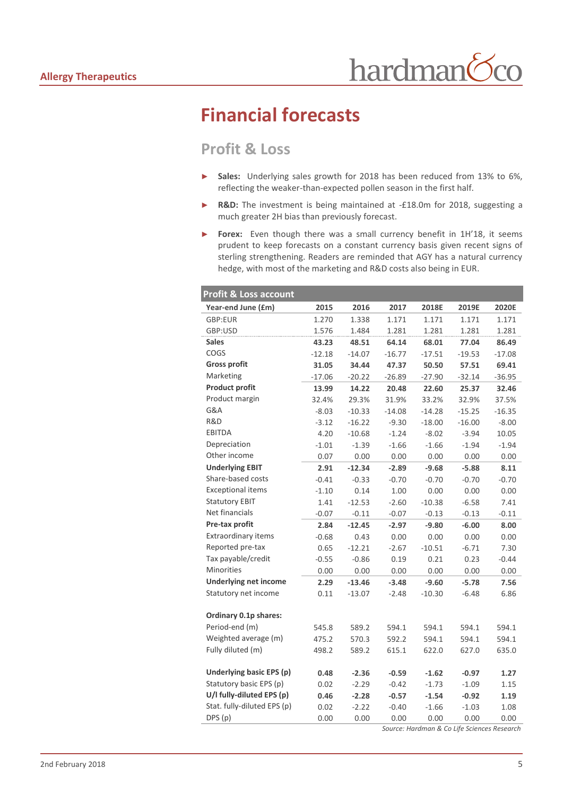## **Financial forecasts**

#### **Profit & Loss**

- ► **Sales:** Underlying sales growth for 2018 has been reduced from 13% to 6%, reflecting the weaker-than-expected pollen season in the first half.
- ► **R&D:** The investment is being maintained at -£18.0m for 2018, suggesting a much greater 2H bias than previously forecast.
- ► **Forex:** Even though there was a small currency benefit in 1H'18, it seems prudent to keep forecasts on a constant currency basis given recent signs of sterling strengthening. Readers are reminded that AGY has a natural currency hedge, with most of the marketing and R&D costs also being in EUR.

| <b>Profit &amp; Loss account</b> |          |          |          |          |          |          |
|----------------------------------|----------|----------|----------|----------|----------|----------|
| Year-end June (£m)               | 2015     | 2016     | 2017     | 2018E    | 2019E    | 2020E    |
| GBP:EUR                          | 1.270    | 1.338    | 1.171    | 1.171    | 1.171    | 1.171    |
| GBP:USD                          | 1.576    | 1.484    | 1.281    | 1.281    | 1.281    | 1.281    |
| <b>Sales</b>                     | 43.23    | 48.51    | 64.14    | 68.01    | 77.04    | 86.49    |
| COGS                             | $-12.18$ | $-14.07$ | $-16.77$ | $-17.51$ | $-19.53$ | $-17.08$ |
| <b>Gross profit</b>              | 31.05    | 34.44    | 47.37    | 50.50    | 57.51    | 69.41    |
| Marketing                        | $-17.06$ | $-20.22$ | $-26.89$ | $-27.90$ | $-32.14$ | $-36.95$ |
| <b>Product profit</b>            | 13.99    | 14.22    | 20.48    | 22.60    | 25.37    | 32.46    |
| Product margin                   | 32.4%    | 29.3%    | 31.9%    | 33.2%    | 32.9%    | 37.5%    |
| G&A                              | $-8.03$  | $-10.33$ | $-14.08$ | $-14.28$ | $-15.25$ | $-16.35$ |
| R&D                              | $-3.12$  | $-16.22$ | $-9.30$  | $-18.00$ | $-16.00$ | $-8.00$  |
| <b>EBITDA</b>                    | 4.20     | $-10.68$ | $-1.24$  | $-8.02$  | $-3.94$  | 10.05    |
| Depreciation                     | $-1.01$  | $-1.39$  | $-1.66$  | $-1.66$  | $-1.94$  | $-1.94$  |
| Other income                     | 0.07     | 0.00     | 0.00     | 0.00     | 0.00     | 0.00     |
| <b>Underlying EBIT</b>           | 2.91     | $-12.34$ | $-2.89$  | $-9.68$  | $-5.88$  | 8.11     |
| Share-based costs                | $-0.41$  | $-0.33$  | $-0.70$  | $-0.70$  | $-0.70$  | $-0.70$  |
| <b>Exceptional items</b>         | $-1.10$  | 0.14     | 1.00     | 0.00     | 0.00     | 0.00     |
| <b>Statutory EBIT</b>            | 1.41     | $-12.53$ | $-2.60$  | $-10.38$ | $-6.58$  | 7.41     |
| Net financials                   | $-0.07$  | $-0.11$  | $-0.07$  | $-0.13$  | $-0.13$  | $-0.11$  |
| Pre-tax profit                   | 2.84     | $-12.45$ | $-2.97$  | $-9.80$  | $-6.00$  | 8.00     |
| <b>Extraordinary items</b>       | $-0.68$  | 0.43     | 0.00     | 0.00     | 0.00     | 0.00     |
| Reported pre-tax                 | 0.65     | $-12.21$ | $-2.67$  | $-10.51$ | $-6.71$  | 7.30     |
| Tax payable/credit               | $-0.55$  | $-0.86$  | 0.19     | 0.21     | 0.23     | $-0.44$  |
| <b>Minorities</b>                | 0.00     | 0.00     | 0.00     | 0.00     | 0.00     | 0.00     |
| <b>Underlying net income</b>     | 2.29     | $-13.46$ | $-3.48$  | $-9.60$  | $-5.78$  | 7.56     |
| Statutory net income             | 0.11     | $-13.07$ | $-2.48$  | $-10.30$ | $-6.48$  | 6.86     |
| Ordinary 0.1p shares:            |          |          |          |          |          |          |
| Period-end (m)                   | 545.8    | 589.2    | 594.1    | 594.1    | 594.1    | 594.1    |
| Weighted average (m)             | 475.2    | 570.3    | 592.2    | 594.1    | 594.1    | 594.1    |
| Fully diluted (m)                | 498.2    | 589.2    | 615.1    | 622.0    | 627.0    | 635.0    |
| Underlying basic EPS (p)         | 0.48     | $-2.36$  | $-0.59$  | $-1.62$  | $-0.97$  | 1.27     |
| Statutory basic EPS (p)          | 0.02     | $-2.29$  | $-0.42$  | $-1.73$  | $-1.09$  | 1.15     |
| U/I fully-diluted EPS (p)        | 0.46     | $-2.28$  | $-0.57$  | $-1.54$  | $-0.92$  | 1.19     |
| Stat. fully-diluted EPS (p)      | 0.02     | $-2.22$  | $-0.40$  | $-1.66$  | $-1.03$  | 1.08     |
| DPS (p)                          | 0.00     | 0.00     | 0.00     | 0.00     | 0.00     | 0.00     |
|                                  |          |          |          |          |          |          |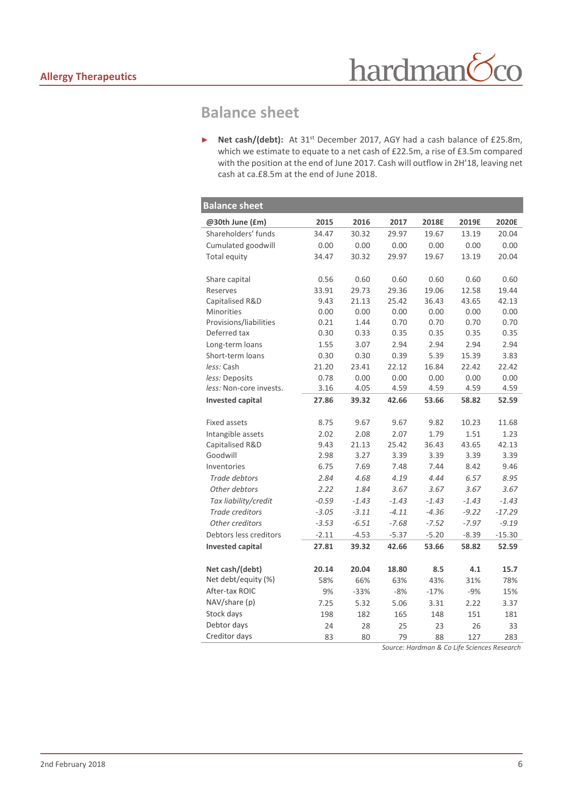## **Balance sheet**

► **Net cash/(debt):** At 31st December 2017, AGY had a cash balance of £25.8m, which we estimate to equate to a net cash of £22.5m, a rise of £3.5m compared with the position at the end of June 2017. Cash will outflow in 2H'18, leaving net cash at ca.£8.5m at the end of June 2018.

| <b>Balance sheet</b>    |         |         |         |         |         |          |
|-------------------------|---------|---------|---------|---------|---------|----------|
| @30th June (£m)         | 2015    | 2016    | 2017    | 2018E   | 2019E   | 2020E    |
| Shareholders' funds     | 34.47   | 30.32   | 29.97   | 19.67   | 13.19   | 20.04    |
| Cumulated goodwill      | 0.00    | 0.00    | 0.00    | 0.00    | 0.00    | 0.00     |
| Total equity            | 34.47   | 30.32   | 29.97   | 19.67   | 13.19   | 20.04    |
| Share capital           | 0.56    | 0.60    | 0.60    | 0.60    | 0.60    | 0.60     |
| Reserves                | 33.91   | 29.73   | 29.36   | 19.06   | 12.58   | 19.44    |
| Capitalised R&D         | 9.43    | 21.13   | 25.42   | 36.43   | 43.65   | 42.13    |
| <b>Minorities</b>       | 0.00    | 0.00    | 0.00    | 0.00    | 0.00    | 0.00     |
| Provisions/liabilities  | 0.21    | 1.44    | 0.70    | 0.70    | 0.70    | 0.70     |
| Deferred tax            | 0.30    | 0.33    | 0.35    | 0.35    | 0.35    | 0.35     |
| Long-term loans         | 1.55    | 3.07    | 2.94    | 2.94    | 2.94    | 2.94     |
| Short-term loans        | 0.30    | 0.30    | 0.39    | 5.39    | 15.39   | 3.83     |
| less: Cash              | 21.20   | 23.41   | 22.12   | 16.84   | 22.42   | 22.42    |
| less: Deposits          | 0.78    | 0.00    | 0.00    | 0.00    | 0.00    | 0.00     |
| less: Non-core invests. | 3.16    | 4.05    | 4.59    | 4.59    | 4.59    | 4.59     |
| <b>Invested capital</b> | 27.86   | 39.32   | 42.66   | 53.66   | 58.82   | 52.59    |
|                         |         |         |         |         |         |          |
| <b>Fixed assets</b>     | 8.75    | 9.67    | 9.67    | 9.82    | 10.23   | 11.68    |
| Intangible assets       | 2.02    | 2.08    | 2.07    | 1.79    | 1.51    | 1.23     |
| Capitalised R&D         | 9.43    | 21.13   | 25.42   | 36.43   | 43.65   | 42.13    |
| Goodwill                | 2.98    | 3.27    | 3.39    | 3.39    | 3.39    | 3.39     |
| Inventories             | 6.75    | 7.69    | 7.48    | 7.44    | 8.42    | 9.46     |
| Trade debtors           | 2.84    | 4.68    | 4.19    | 4.44    | 6.57    | 8.95     |
| Other debtors           | 2.22    | 1.84    | 3.67    | 3.67    | 3.67    | 3.67     |
| Tax liability/credit    | $-0.59$ | $-1.43$ | $-1.43$ | $-1.43$ | $-1.43$ | $-1.43$  |
| Trade creditors         | $-3.05$ | $-3.11$ | $-4.11$ | $-4.36$ | $-9.22$ | $-17.29$ |
| Other creditors         | $-3.53$ | $-6.51$ | $-7.68$ | $-7.52$ | $-7.97$ | $-9.19$  |
| Debtors less creditors  | $-2.11$ | $-4.53$ | $-5.37$ | $-5.20$ | $-8.39$ | $-15.30$ |
| <b>Invested capital</b> | 27.81   | 39.32   | 42.66   | 53.66   | 58.82   | 52.59    |
| Net cash/(debt)         | 20.14   | 20.04   | 18.80   | 8.5     | 4.1     | 15.7     |
| Net debt/equity (%)     | 58%     | 66%     | 63%     | 43%     | 31%     | 78%      |
| After-tax ROIC          | 9%      | $-33%$  | $-8%$   | $-17%$  | $-9%$   | 15%      |
| NAV/share (p)           | 7.25    | 5.32    | 5.06    | 3.31    | 2.22    | 3.37     |
| Stock days              | 198     | 182     | 165     | 148     | 151     | 181      |
| Debtor days             | 24      | 28      | 25      | 23      | 26      | 33       |
| Creditor days           | 83      | 80      | 79      | 88      | 127     | 283      |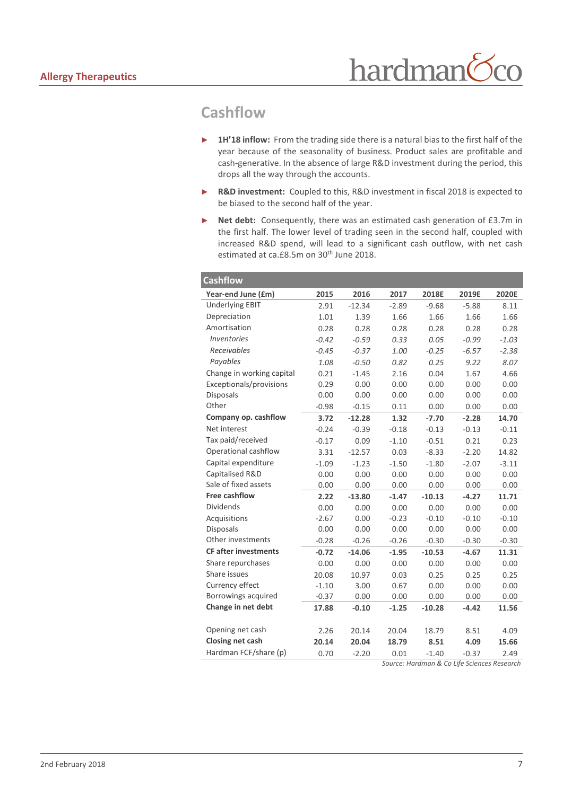### **Cashflow**

- 1H'18 inflow: From the trading side there is a natural bias to the first half of the year because of the seasonality of business. Product sales are profitable and cash-generative. In the absence of large R&D investment during the period, this drops all the way through the accounts.
- ► **R&D investment:** Coupled to this, R&D investment in fiscal 2018 is expected to be biased to the second half of the year.
- ► **Net debt:** Consequently, there was an estimated cash generation of £3.7m in the first half. The lower level of trading seen in the second half, coupled with increased R&D spend, will lead to a significant cash outflow, with net cash estimated at ca.£8.5m on 30<sup>th</sup> June 2018.

| <b>Cashflow</b>             |         |          |         |          |         |         |
|-----------------------------|---------|----------|---------|----------|---------|---------|
| Year-end June (£m)          | 2015    | 2016     | 2017    | 2018E    | 2019E   | 2020E   |
| <b>Underlying EBIT</b>      | 2.91    | $-12.34$ | $-2.89$ | $-9.68$  | $-5.88$ | 8.11    |
| Depreciation                | 1.01    | 1.39     | 1.66    | 1.66     | 1.66    | 1.66    |
| Amortisation                | 0.28    | 0.28     | 0.28    | 0.28     | 0.28    | 0.28    |
| <b>Inventories</b>          | $-0.42$ | $-0.59$  | 0.33    | 0.05     | $-0.99$ | $-1.03$ |
| Receivables                 | $-0.45$ | $-0.37$  | 1.00    | $-0.25$  | $-6.57$ | $-2.38$ |
| Payables                    | 1.08    | $-0.50$  | 0.82    | 0.25     | 9.22    | 8.07    |
| Change in working capital   | 0.21    | $-1.45$  | 2.16    | 0.04     | 1.67    | 4.66    |
| Exceptionals/provisions     | 0.29    | 0.00     | 0.00    | 0.00     | 0.00    | 0.00    |
| <b>Disposals</b>            | 0.00    | 0.00     | 0.00    | 0.00     | 0.00    | 0.00    |
| Other                       | $-0.98$ | $-0.15$  | 0.11    | 0.00     | 0.00    | 0.00    |
| Company op. cashflow        | 3.72    | $-12.28$ | 1.32    | $-7.70$  | $-2.28$ | 14.70   |
| Net interest                | $-0.24$ | $-0.39$  | $-0.18$ | $-0.13$  | $-0.13$ | $-0.11$ |
| Tax paid/received           | $-0.17$ | 0.09     | $-1.10$ | $-0.51$  | 0.21    | 0.23    |
| Operational cashflow        | 3.31    | $-12.57$ | 0.03    | $-8.33$  | $-2.20$ | 14.82   |
| Capital expenditure         | $-1.09$ | $-1.23$  | $-1.50$ | $-1.80$  | $-2.07$ | $-3.11$ |
| Capitalised R&D             | 0.00    | 0.00     | 0.00    | 0.00     | 0.00    | 0.00    |
| Sale of fixed assets        | 0.00    | 0.00     | 0.00    | 0.00     | 0.00    | 0.00    |
| <b>Free cashflow</b>        | 2.22    | $-13.80$ | $-1.47$ | $-10.13$ | $-4.27$ | 11.71   |
| <b>Dividends</b>            | 0.00    | 0.00     | 0.00    | 0.00     | 0.00    | 0.00    |
| Acquisitions                | $-2.67$ | 0.00     | $-0.23$ | $-0.10$  | $-0.10$ | $-0.10$ |
| <b>Disposals</b>            | 0.00    | 0.00     | 0.00    | 0.00     | 0.00    | 0.00    |
| Other investments           | $-0.28$ | $-0.26$  | $-0.26$ | $-0.30$  | $-0.30$ | $-0.30$ |
| <b>CF after investments</b> | $-0.72$ | $-14.06$ | $-1.95$ | $-10.53$ | $-4.67$ | 11.31   |
| Share repurchases           | 0.00    | 0.00     | 0.00    | 0.00     | 0.00    | 0.00    |
| Share issues                | 20.08   | 10.97    | 0.03    | 0.25     | 0.25    | 0.25    |
| Currency effect             | $-1.10$ | 3.00     | 0.67    | 0.00     | 0.00    | 0.00    |
| Borrowings acquired         | $-0.37$ | 0.00     | 0.00    | 0.00     | 0.00    | 0.00    |
| Change in net debt          | 17.88   | $-0.10$  | $-1.25$ | $-10.28$ | $-4.42$ | 11.56   |
|                             |         |          |         |          |         |         |
| Opening net cash            | 2.26    | 20.14    | 20.04   | 18.79    | 8.51    | 4.09    |
| Closing net cash            | 20.14   | 20.04    | 18.79   | 8.51     | 4.09    | 15.66   |
| Hardman FCF/share (p)       | 0.70    | $-2.20$  | 0.01    | $-1.40$  | $-0.37$ | 2.49    |